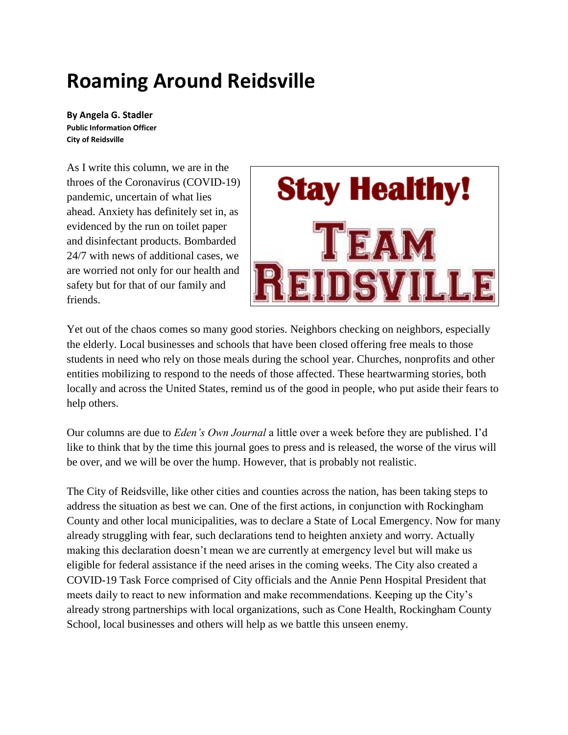## **Roaming Around Reidsville**

**By Angela G. Stadler Public Information Officer City of Reidsville**

As I write this column, we are in the throes of the Coronavirus (COVID-19) pandemic, uncertain of what lies ahead. Anxiety has definitely set in, as evidenced by the run on toilet paper and disinfectant products. Bombarded 24/7 with news of additional cases, we are worried not only for our health and safety but for that of our family and friends.



Yet out of the chaos comes so many good stories. Neighbors checking on neighbors, especially the elderly. Local businesses and schools that have been closed offering free meals to those students in need who rely on those meals during the school year. Churches, nonprofits and other entities mobilizing to respond to the needs of those affected. These heartwarming stories, both locally and across the United States, remind us of the good in people, who put aside their fears to help others.

Our columns are due to *Eden's Own Journal* a little over a week before they are published. I'd like to think that by the time this journal goes to press and is released, the worse of the virus will be over, and we will be over the hump. However, that is probably not realistic.

The City of Reidsville, like other cities and counties across the nation, has been taking steps to address the situation as best we can. One of the first actions, in conjunction with Rockingham County and other local municipalities, was to declare a State of Local Emergency. Now for many already struggling with fear, such declarations tend to heighten anxiety and worry. Actually making this declaration doesn't mean we are currently at emergency level but will make us eligible for federal assistance if the need arises in the coming weeks. The City also created a COVID-19 Task Force comprised of City officials and the Annie Penn Hospital President that meets daily to react to new information and make recommendations. Keeping up the City's already strong partnerships with local organizations, such as Cone Health, Rockingham County School, local businesses and others will help as we battle this unseen enemy.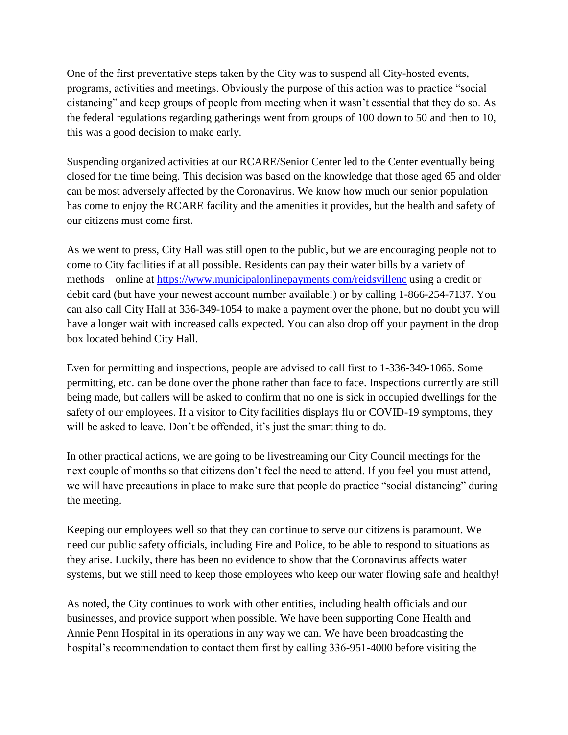One of the first preventative steps taken by the City was to suspend all City-hosted events, programs, activities and meetings. Obviously the purpose of this action was to practice "social distancing" and keep groups of people from meeting when it wasn't essential that they do so. As the federal regulations regarding gatherings went from groups of 100 down to 50 and then to 10, this was a good decision to make early.

Suspending organized activities at our RCARE/Senior Center led to the Center eventually being closed for the time being. This decision was based on the knowledge that those aged 65 and older can be most adversely affected by the Coronavirus. We know how much our senior population has come to enjoy the RCARE facility and the amenities it provides, but the health and safety of our citizens must come first.

As we went to press, City Hall was still open to the public, but we are encouraging people not to come to City facilities if at all possible. Residents can pay their water bills by a variety of methods – online at<https://www.municipalonlinepayments.com/reidsvillenc> using a credit or debit card (but have your newest account number available!) or by calling 1-866-254-7137. You can also call City Hall at 336-349-1054 to make a payment over the phone, but no doubt you will have a longer wait with increased calls expected. You can also drop off your payment in the drop box located behind City Hall.

Even for permitting and inspections, people are advised to call first to 1-336-349-1065. Some permitting, etc. can be done over the phone rather than face to face. Inspections currently are still being made, but callers will be asked to confirm that no one is sick in occupied dwellings for the safety of our employees. If a visitor to City facilities displays flu or COVID-19 symptoms, they will be asked to leave. Don't be offended, it's just the smart thing to do.

In other practical actions, we are going to be livestreaming our City Council meetings for the next couple of months so that citizens don't feel the need to attend. If you feel you must attend, we will have precautions in place to make sure that people do practice "social distancing" during the meeting.

Keeping our employees well so that they can continue to serve our citizens is paramount. We need our public safety officials, including Fire and Police, to be able to respond to situations as they arise. Luckily, there has been no evidence to show that the Coronavirus affects water systems, but we still need to keep those employees who keep our water flowing safe and healthy!

As noted, the City continues to work with other entities, including health officials and our businesses, and provide support when possible. We have been supporting Cone Health and Annie Penn Hospital in its operations in any way we can. We have been broadcasting the hospital's recommendation to contact them first by calling 336-951-4000 before visiting the